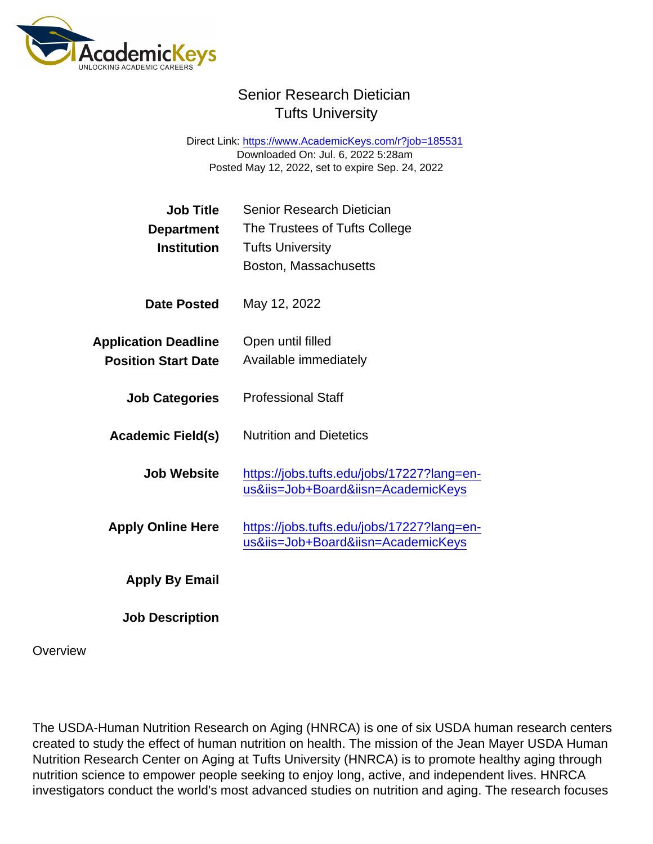Direct Link: <https://www.AcademicKeys.com/r?job=185531> Downloaded On: Jul. 6, 2022 5:28am Posted May 12, 2022, set to expire Sep. 24, 2022

| <b>Job Title</b><br>Department<br>Institution             | Senior Research Dietician<br>The Trustees of Tufts College<br><b>Tufts University</b><br>Boston, Massachusetts |
|-----------------------------------------------------------|----------------------------------------------------------------------------------------------------------------|
| Date Posted                                               | May 12, 2022                                                                                                   |
| <b>Application Deadline</b><br><b>Position Start Date</b> | Open until filled<br>Available immediately                                                                     |
| <b>Job Categories</b>                                     | <b>Professional Staff</b>                                                                                      |
| Academic Field(s)                                         | <b>Nutrition and Dietetics</b>                                                                                 |
| Job Website                                               | https://jobs.tufts.edu/jobs/17227?lang=en-<br>us&iis=Job+Board&iisn=AcademicKeys                               |
| <b>Apply Online Here</b>                                  | https://jobs.tufts.edu/jobs/17227?lang=en-<br>us&iis=Job+Board&iisn=AcademicKeys                               |
| Apply By Email                                            |                                                                                                                |
| <b>Job Description</b>                                    |                                                                                                                |

**Overview** 

The USDA-Human Nutrition Research on Aging (HNRCA) is one of six USDA human research centers created to study the effect of human nutrition on health. The mission of the Jean Mayer USDA Human Nutrition Research Center on Aging at Tufts University (HNRCA) is to promote healthy aging through nutrition science to empower people seeking to enjoy long, active, and independent lives. HNRCA investigators conduct the world's most advanced studies on nutrition and aging. The research focuses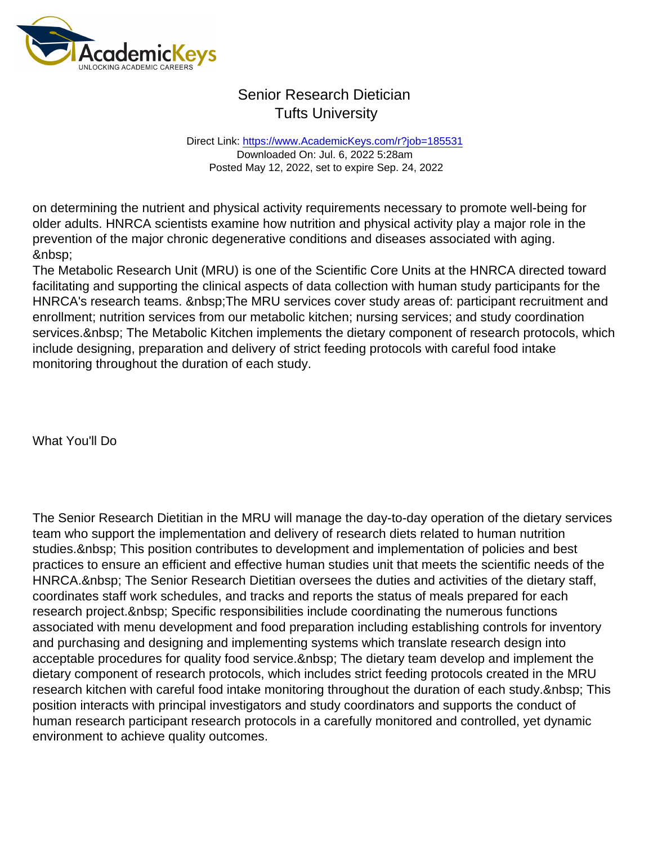Direct Link: <https://www.AcademicKeys.com/r?job=185531> Downloaded On: Jul. 6, 2022 5:28am Posted May 12, 2022, set to expire Sep. 24, 2022

on determining the nutrient and physical activity requirements necessary to promote well-being for older adults. HNRCA scientists examine how nutrition and physical activity play a major role in the prevention of the major chronic degenerative conditions and diseases associated with aging. 

The Metabolic Research Unit (MRU) is one of the Scientific Core Units at the HNRCA directed toward facilitating and supporting the clinical aspects of data collection with human study participants for the HNRCA's research teams. The MRU services cover study areas of: participant recruitment and enrollment; nutrition services from our metabolic kitchen; nursing services; and study coordination services. The Metabolic Kitchen implements the dietary component of research protocols, which include designing, preparation and delivery of strict feeding protocols with careful food intake monitoring throughout the duration of each study.

What You'll Do

The Senior Research Dietitian in the MRU will manage the day-to-day operation of the dietary services team who support the implementation and delivery of research diets related to human nutrition studies. & nbsp; This position contributes to development and implementation of policies and best practices to ensure an efficient and effective human studies unit that meets the scientific needs of the HNRCA. & nbsp; The Senior Research Dietitian oversees the duties and activities of the dietary staff, coordinates staff work schedules, and tracks and reports the status of meals prepared for each research project. & nbsp; Specific responsibilities include coordinating the numerous functions associated with menu development and food preparation including establishing controls for inventory and purchasing and designing and implementing systems which translate research design into acceptable procedures for quality food service. The dietary team develop and implement the dietary component of research protocols, which includes strict feeding protocols created in the MRU research kitchen with careful food intake monitoring throughout the duration of each study. This position interacts with principal investigators and study coordinators and supports the conduct of human research participant research protocols in a carefully monitored and controlled, yet dynamic environment to achieve quality outcomes.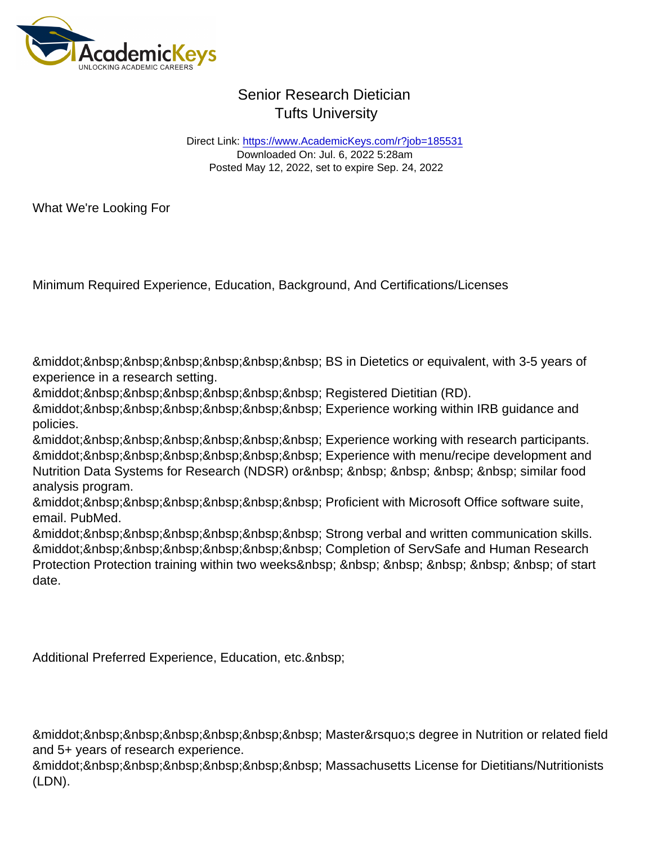Direct Link: <https://www.AcademicKeys.com/r?job=185531> Downloaded On: Jul. 6, 2022 5:28am Posted May 12, 2022, set to expire Sep. 24, 2022

What We're Looking For

Minimum Required Experience, Education, Background, And Certifications/Licenses

· BS in Dietetics or equivalent, with 3-5 years of experience in a research setting.

&middot:&nbsp:&nbsp:&nbsp:&nbsp:&nbsp:&nbsp: Registered Dietitian (RD).

· Experience working within IRB guidance and policies.

· Experience working with research participants. · Experience with menu/recipe development and Nutrition Data Systems for Research (NDSR) or similar food analysis program.

· Proficient with Microsoft Office software suite, email. PubMed.

· Strong verbal and written communication skills. · Completion of ServSafe and Human Research Protection Protection training within two weeks of start date.

Additional Preferred Experience, Education, etc.

&middot:&nbsp:&nbsp:&nbsp:&nbsp:&nbsp:&nbsp:&nbsp: Master&rsquo:s degree in Nutrition or related field and 5+ years of research experience.

· Massachusetts License for Dietitians/Nutritionists (LDN).